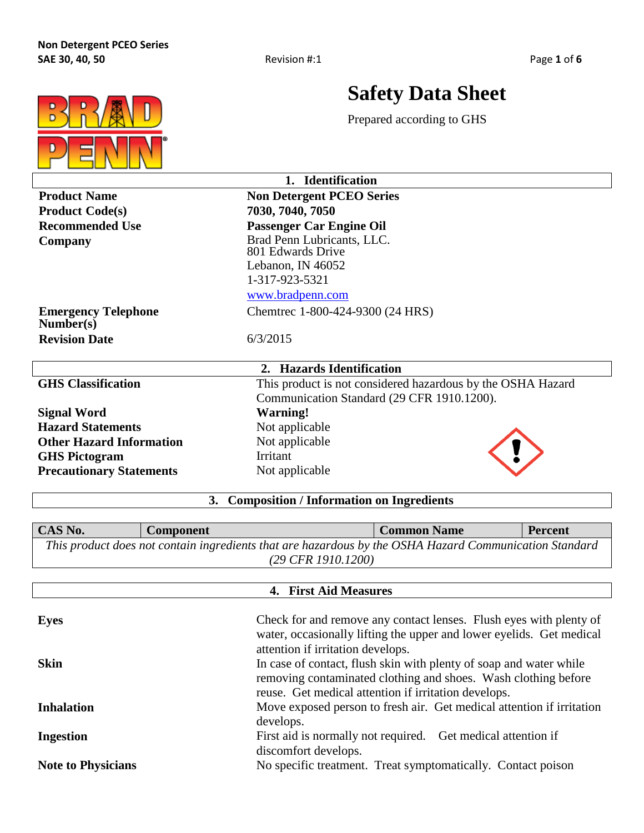

# **Safety Data Sheet**

Prepared according to GHS

| <b>Identification</b>                                 |                                                             |  |
|-------------------------------------------------------|-------------------------------------------------------------|--|
| <b>Product Name</b>                                   | <b>Non Detergent PCEO Series</b>                            |  |
| <b>Product Code(s)</b>                                | 7030, 7040, 7050                                            |  |
| <b>Recommended Use</b>                                | Passenger Car Engine Oil                                    |  |
| Company                                               | Brad Penn Lubricants, LLC.                                  |  |
|                                                       | 801 Edwards Drive                                           |  |
|                                                       | Lebanon, IN 46052                                           |  |
|                                                       | 1-317-923-5321                                              |  |
|                                                       | www.bradpenn.com                                            |  |
| <b>Emergency Telephone</b><br>Number(s)               | Chemtrec 1-800-424-9300 (24 HRS)                            |  |
| <b>Revision Date</b>                                  | 6/3/2015                                                    |  |
|                                                       |                                                             |  |
| 2. Hazards Identification                             |                                                             |  |
| <b>GHS Classification</b>                             | This product is not considered hazardous by the OSHA Hazard |  |
|                                                       | Communication Standard (29 CFR 1910.1200).                  |  |
| <b>Signal Word</b>                                    | <b>Warning!</b>                                             |  |
| <b>Hazard Statements</b>                              | Not applicable                                              |  |
| <b>Other Hazard Information</b>                       | Not applicable                                              |  |
| <b>GHS Pictogram</b>                                  | <b>Irritant</b>                                             |  |
| <b>Precautionary Statements</b>                       | Not applicable                                              |  |
| <b>Composition / Information on Ingredients</b><br>3. |                                                             |  |

**CAS No. Component Common Name Percent** *This product does not contain ingredients that are hazardous by the OSHA Hazard Communication Standard (29 CFR 1910.1200)*

| 4. First Aid Measures     |                                                                                                                                                                                                                                   |  |
|---------------------------|-----------------------------------------------------------------------------------------------------------------------------------------------------------------------------------------------------------------------------------|--|
| <b>Eyes</b>               | Check for and remove any contact lenses. Flush eyes with plenty of<br>water, occasionally lifting the upper and lower eyelids. Get medical                                                                                        |  |
| <b>Skin</b>               | attention if irritation develops.<br>In case of contact, flush skin with plenty of soap and water while<br>removing contaminated clothing and shoes. Wash clothing before<br>reuse. Get medical attention if irritation develops. |  |
| <b>Inhalation</b>         | Move exposed person to fresh air. Get medical attention if irritation<br>develops.                                                                                                                                                |  |
| <b>Ingestion</b>          | First aid is normally not required. Get medical attention if<br>discomfort develops.                                                                                                                                              |  |
| <b>Note to Physicians</b> | No specific treatment. Treat symptomatically. Contact poison                                                                                                                                                                      |  |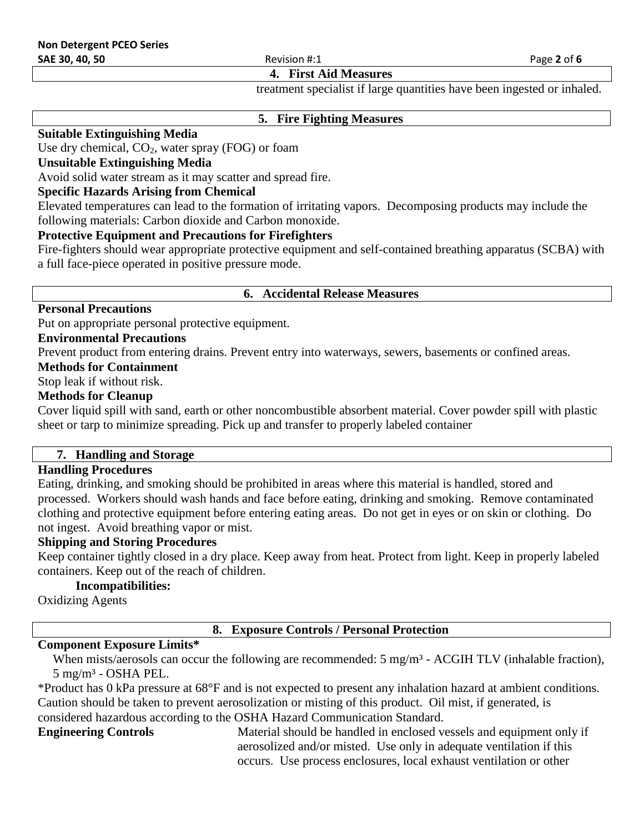**SAE 30, 40, 50 Page 2** of **6 Revision #:1 Page 2** of **6 Page 2** of **6** 

# **4. First Aid Measures**

treatment specialist if large quantities have been ingested or inhaled.

# **5. Fire Fighting Measures**

#### **Suitable Extinguishing Media**

Use dry chemical,  $CO<sub>2</sub>$ , water spray (FOG) or foam

#### **Unsuitable Extinguishing Media**

Avoid solid water stream as it may scatter and spread fire.

# **Specific Hazards Arising from Chemical**

Elevated temperatures can lead to the formation of irritating vapors. Decomposing products may include the following materials: Carbon dioxide and Carbon monoxide.

#### **Protective Equipment and Precautions for Firefighters**

Fire-fighters should wear appropriate protective equipment and self-contained breathing apparatus (SCBA) with a full face-piece operated in positive pressure mode.

#### **6. Accidental Release Measures**

# **Personal Precautions**

Put on appropriate personal protective equipment.

#### **Environmental Precautions**

Prevent product from entering drains. Prevent entry into waterways, sewers, basements or confined areas.

#### **Methods for Containment**

Stop leak if without risk.

#### **Methods for Cleanup**

Cover liquid spill with sand, earth or other noncombustible absorbent material. Cover powder spill with plastic sheet or tarp to minimize spreading. Pick up and transfer to properly labeled container

#### **7. Handling and Storage**

#### **Handling Procedures**

Eating, drinking, and smoking should be prohibited in areas where this material is handled, stored and processed. Workers should wash hands and face before eating, drinking and smoking. Remove contaminated clothing and protective equipment before entering eating areas. Do not get in eyes or on skin or clothing. Do not ingest. Avoid breathing vapor or mist.

#### **Shipping and Storing Procedures**

Keep container tightly closed in a dry place. Keep away from heat. Protect from light. Keep in properly labeled containers. Keep out of the reach of children.

# **Incompatibilities:**

Oxidizing Agents

# **8. Exposure Controls / Personal Protection**

# **Component Exposure Limits\***

When mists/aerosols can occur the following are recommended: 5 mg/m<sup>3</sup> - ACGIH TLV (inhalable fraction), 5 mg/m³ - OSHA PEL.

\*Product has 0 kPa pressure at 68°F and is not expected to present any inhalation hazard at ambient conditions. Caution should be taken to prevent aerosolization or misting of this product. Oil mist, if generated, is considered hazardous according to the OSHA Hazard Communication Standard.

**Engineering Controls** Material should be handled in enclosed vessels and equipment only if aerosolized and/or misted. Use only in adequate ventilation if this occurs. Use process enclosures, local exhaust ventilation or other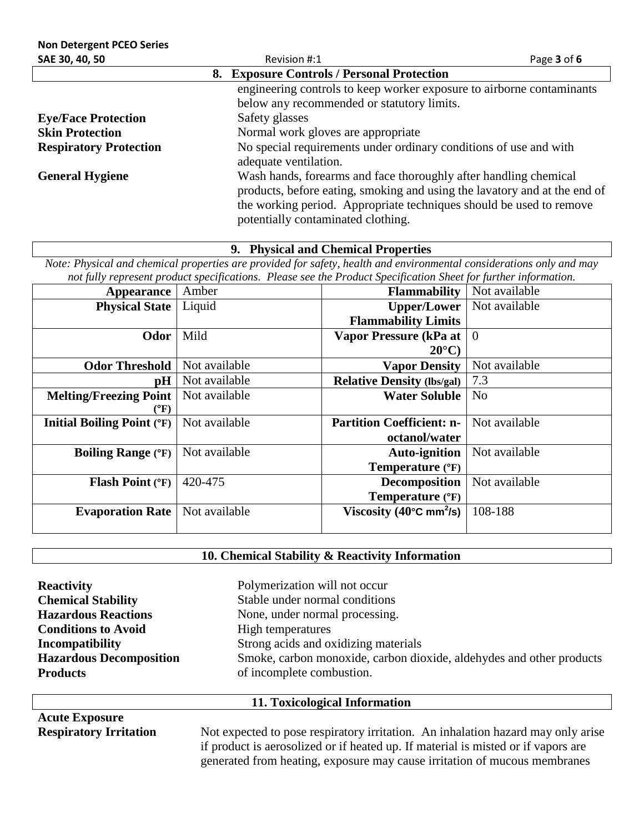| SAE 30, 40, 50                | Revision #:1                                                                                                                                                                                                                                               | Page 3 of 6 |
|-------------------------------|------------------------------------------------------------------------------------------------------------------------------------------------------------------------------------------------------------------------------------------------------------|-------------|
|                               | 8. Exposure Controls / Personal Protection                                                                                                                                                                                                                 |             |
|                               | engineering controls to keep worker exposure to airborne contaminants<br>below any recommended or statutory limits.                                                                                                                                        |             |
| <b>Eye/Face Protection</b>    | Safety glasses                                                                                                                                                                                                                                             |             |
| <b>Skin Protection</b>        | Normal work gloves are appropriate                                                                                                                                                                                                                         |             |
| <b>Respiratory Protection</b> | No special requirements under ordinary conditions of use and with<br>adequate ventilation.                                                                                                                                                                 |             |
| <b>General Hygiene</b>        | Wash hands, forearms and face thoroughly after handling chemical<br>products, before eating, smoking and using the lavatory and at the end of<br>the working period. Appropriate techniques should be used to remove<br>potentially contaminated clothing. |             |

**9. Physical and Chemical Properties**

*Note: Physical and chemical properties are provided for safety, health and environmental considerations only and may not fully represent product specifications. Please see the Product Specification Sheet for further information.*

| <b>Appearance</b>                 | Amber         | <b>Flammability</b>                           | Not available  |
|-----------------------------------|---------------|-----------------------------------------------|----------------|
| <b>Physical State</b>             | Liquid        | <b>Upper/Lower</b>                            | Not available  |
|                                   |               | <b>Flammability Limits</b>                    |                |
| Odor                              | Mild          | Vapor Pressure (kPa at                        | $\overline{0}$ |
|                                   |               | $20^{\circ}$ C)                               |                |
| <b>Odor Threshold</b>             | Not available | <b>Vapor Density</b>                          | Not available  |
| pH                                | Not available | <b>Relative Density (lbs/gal)</b>             | 7.3            |
| <b>Melting/Freezing Point</b>     | Not available | <b>Water Soluble</b>                          | N <sub>0</sub> |
| $\rm (^oF)$                       |               |                                               |                |
| <b>Initial Boiling Point (°F)</b> | Not available | <b>Partition Coefficient: n-</b>              | Not available  |
|                                   |               | octanol/water                                 |                |
| <b>Boiling Range (°F)</b>         | Not available | <b>Auto-ignition</b>                          | Not available  |
|                                   |               | Temperature (°F)                              |                |
| <b>Flash Point (°F)</b>           | 420-475       | <b>Decomposition</b>                          | Not available  |
|                                   |               | Temperature (°F)                              |                |
| <b>Evaporation Rate</b>           | Not available | Viscosity (40 $\degree$ C mm <sup>2</sup> /s) | 108-188        |
|                                   |               |                                               |                |

# **10. Chemical Stability & Reactivity Information**

| <b>Reactivity</b>              | Polymerization will not occur                                        |
|--------------------------------|----------------------------------------------------------------------|
| <b>Chemical Stability</b>      | Stable under normal conditions                                       |
| <b>Hazardous Reactions</b>     | None, under normal processing.                                       |
| <b>Conditions to Avoid</b>     | High temperatures                                                    |
| Incompatibility                | Strong acids and oxidizing materials                                 |
| <b>Hazardous Decomposition</b> | Smoke, carbon monoxide, carbon dioxide, aldehydes and other products |
| <b>Products</b>                | of incomplete combustion.                                            |
|                                |                                                                      |
| 11. Toxicological Information  |                                                                      |

**Acute Exposure**

**Respiratory Irritation** Not expected to pose respiratory irritation. An inhalation hazard may only arise if product is aerosolized or if heated up. If material is misted or if vapors are generated from heating, exposure may cause irritation of mucous membranes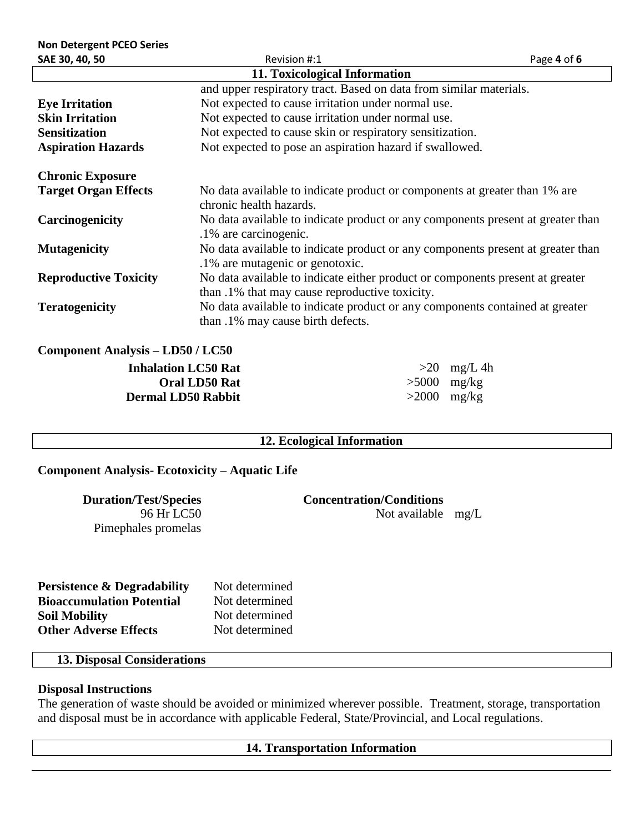$\vert$ 

| SAE 30, 40, 50                          | Revision #:1                                                                                                                    | Page 4 of 6 |  |
|-----------------------------------------|---------------------------------------------------------------------------------------------------------------------------------|-------------|--|
| 11. Toxicological Information           |                                                                                                                                 |             |  |
|                                         | and upper respiratory tract. Based on data from similar materials.                                                              |             |  |
| <b>Eye Irritation</b>                   | Not expected to cause irritation under normal use.                                                                              |             |  |
| <b>Skin Irritation</b>                  | Not expected to cause irritation under normal use.                                                                              |             |  |
| <b>Sensitization</b>                    | Not expected to cause skin or respiratory sensitization.                                                                        |             |  |
| <b>Aspiration Hazards</b>               | Not expected to pose an aspiration hazard if swallowed.                                                                         |             |  |
| <b>Chronic Exposure</b>                 |                                                                                                                                 |             |  |
| <b>Target Organ Effects</b>             | No data available to indicate product or components at greater than 1% are<br>chronic health hazards.                           |             |  |
| Carcinogenicity                         | No data available to indicate product or any components present at greater than<br>.1% are carcinogenic.                        |             |  |
| <b>Mutagenicity</b>                     | No data available to indicate product or any components present at greater than<br>.1% are mutagenic or genotoxic.              |             |  |
| <b>Reproductive Toxicity</b>            | No data available to indicate either product or components present at greater<br>than .1% that may cause reproductive toxicity. |             |  |
| <b>Teratogenicity</b>                   | No data available to indicate product or any components contained at greater<br>than .1% may cause birth defects.               |             |  |
| <b>Component Analysis – LD50 / LC50</b> |                                                                                                                                 |             |  |

**Inhalation LC50 Rat**  $>20$  mg/L 4h **Oral LD50 Rat**  $>5000$  mg/kg<br>al **LD50 Rabbit**  $>2000$  mg/kg **Dermal LD50 Rabbit** 

# **12. Ecological Information**

# **Component Analysis- Ecotoxicity – Aquatic Life**

96 Hr LC50 Pimephales promelas

**Duration/Test/Species Concentration/Conditions**

Not available mg/L

| <b>Persistence &amp; Degradability</b> | Not determined |
|----------------------------------------|----------------|
| <b>Bioaccumulation Potential</b>       | Not determined |
| <b>Soil Mobility</b>                   | Not determined |
| <b>Other Adverse Effects</b>           | Not determined |

# **13. Disposal Considerations**

#### **Disposal Instructions**

The generation of waste should be avoided or minimized wherever possible. Treatment, storage, transportation and disposal must be in accordance with applicable Federal, State/Provincial, and Local regulations.

#### **14. Transportation Information**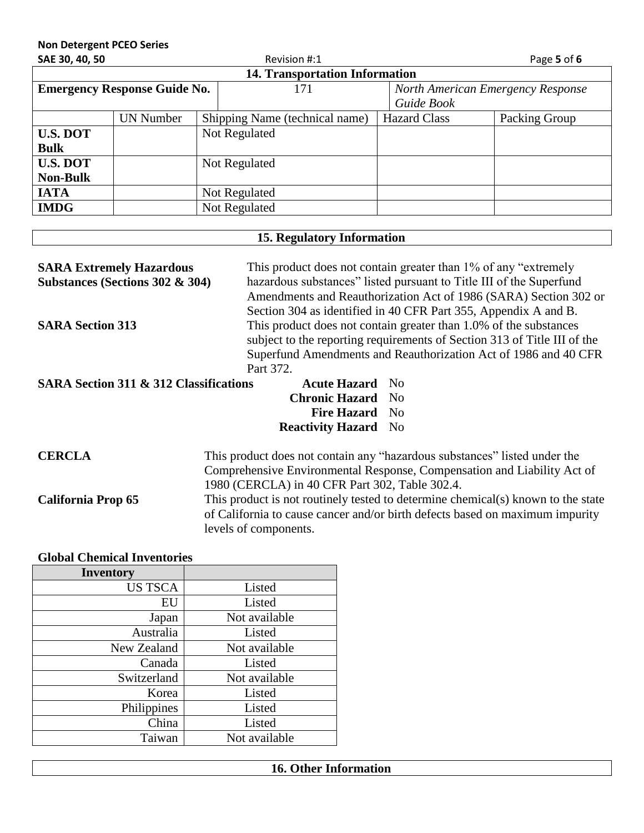# **Non Detergent PCEO Series**

| SAE 30, 40, 50                      |                                       |  | Revision #:1                   |  |                                   | Page 5 of 6   |
|-------------------------------------|---------------------------------------|--|--------------------------------|--|-----------------------------------|---------------|
|                                     | <b>14. Transportation Information</b> |  |                                |  |                                   |               |
| <b>Emergency Response Guide No.</b> |                                       |  | 171                            |  | North American Emergency Response |               |
|                                     |                                       |  |                                |  | Guide Book                        |               |
|                                     | <b>UN Number</b>                      |  | Shipping Name (technical name) |  | <b>Hazard Class</b>               | Packing Group |
| <b>U.S. DOT</b>                     |                                       |  | Not Regulated                  |  |                                   |               |
| <b>Bulk</b>                         |                                       |  |                                |  |                                   |               |
| <b>U.S. DOT</b>                     |                                       |  | Not Regulated                  |  |                                   |               |
| <b>Non-Bulk</b>                     |                                       |  |                                |  |                                   |               |
| <b>IATA</b>                         |                                       |  | Not Regulated                  |  |                                   |               |
| <b>IMDG</b>                         |                                       |  | Not Regulated                  |  |                                   |               |

#### **15. Regulatory Information**

| <b>SARA Extremely Hazardous</b><br>Substances (Sections 302 & 304)<br><b>SARA Section 313</b> | Part 372.                                                                                                  | This product does not contain greater than 1% of any "extremely"<br>hazardous substances" listed pursuant to Title III of the Superfund<br>Amendments and Reauthorization Act of 1986 (SARA) Section 302 or<br>Section 304 as identified in 40 CFR Part 355, Appendix A and B.<br>This product does not contain greater than 1.0% of the substances<br>subject to the reporting requirements of Section 313 of Title III of the<br>Superfund Amendments and Reauthorization Act of 1986 and 40 CFR |
|-----------------------------------------------------------------------------------------------|------------------------------------------------------------------------------------------------------------|----------------------------------------------------------------------------------------------------------------------------------------------------------------------------------------------------------------------------------------------------------------------------------------------------------------------------------------------------------------------------------------------------------------------------------------------------------------------------------------------------|
| <b>SARA Section 311 &amp; 312 Classifications</b>                                             | <b>Acute Hazard</b> No<br><b>Chronic Hazard</b> No<br><b>Fire Hazard</b> No<br><b>Reactivity Hazard</b> No |                                                                                                                                                                                                                                                                                                                                                                                                                                                                                                    |

**CERCLA** This product does not contain any "hazardous substances" listed under the Comprehensive Environmental Response, Compensation and Liability Act of 1980 (CERCLA) in 40 CFR Part 302, Table 302.4. **California Prop 65** This product is not routinely tested to determine chemical(s) known to the state of California to cause cancer and/or birth defects based on maximum impurity levels of components.

# **Global Chemical Inventories**

| <b>Inventory</b> |               |
|------------------|---------------|
| <b>US TSCA</b>   | Listed        |
| EU               | Listed        |
| Japan            | Not available |
| Australia        | Listed        |
| New Zealand      | Not available |
| Canada           | Listed        |
| Switzerland      | Not available |
| Korea            | Listed        |
| Philippines      | Listed        |
| China            | Listed        |
| Taiwan           | Not available |